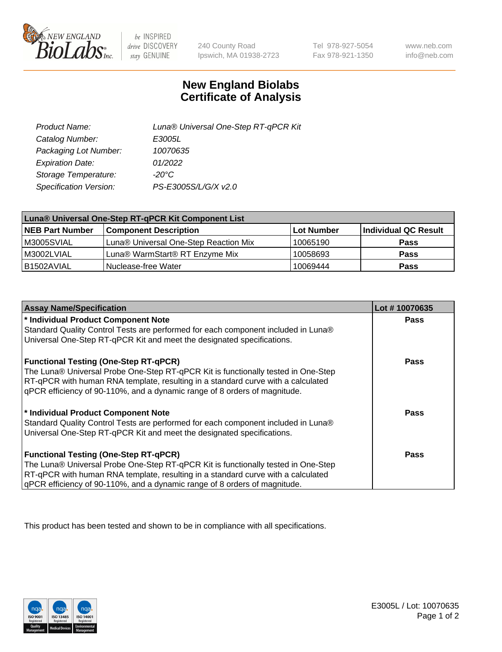

 $be$  INSPIRED drive DISCOVERY stay GENUINE

240 County Road Ipswich, MA 01938-2723

Tel 978-927-5054 Fax 978-921-1350

www.neb.com info@neb.com

## **New England Biolabs Certificate of Analysis**

| Product Name:           | Luna® Universal One-Step RT-qPCR Kit |
|-------------------------|--------------------------------------|
| Catalog Number:         | E3005L                               |
| Packaging Lot Number:   | 10070635                             |
| <b>Expiration Date:</b> | 01/2022                              |
| Storage Temperature:    | $-20^{\circ}$ C                      |
| Specification Version:  | PS-E3005S/L/G/X v2.0                 |

| Luna® Universal One-Step RT-qPCR Kit Component List |                                       |            |                      |  |
|-----------------------------------------------------|---------------------------------------|------------|----------------------|--|
| <b>NEB Part Number</b>                              | <b>Component Description</b>          | Lot Number | Individual QC Result |  |
| M3005SVIAL                                          | Luna® Universal One-Step Reaction Mix | 10065190   | <b>Pass</b>          |  |
| M3002LVIAL                                          | Luna® WarmStart® RT Enzyme Mix        | 10058693   | <b>Pass</b>          |  |
| B1502AVIAL                                          | Nuclease-free Water                   | 10069444   | <b>Pass</b>          |  |

| <b>Assay Name/Specification</b>                                                   | Lot #10070635 |
|-----------------------------------------------------------------------------------|---------------|
| * Individual Product Component Note                                               | <b>Pass</b>   |
| Standard Quality Control Tests are performed for each component included in Luna® |               |
| Universal One-Step RT-qPCR Kit and meet the designated specifications.            |               |
| <b>Functional Testing (One-Step RT-qPCR)</b>                                      | Pass          |
| The Luna® Universal Probe One-Step RT-qPCR Kit is functionally tested in One-Step |               |
| RT-qPCR with human RNA template, resulting in a standard curve with a calculated  |               |
| gPCR efficiency of 90-110%, and a dynamic range of 8 orders of magnitude.         |               |
| * Individual Product Component Note                                               | Pass          |
| Standard Quality Control Tests are performed for each component included in Luna® |               |
| Universal One-Step RT-qPCR Kit and meet the designated specifications.            |               |
| <b>Functional Testing (One-Step RT-qPCR)</b>                                      | <b>Pass</b>   |
| The Luna® Universal Probe One-Step RT-qPCR Kit is functionally tested in One-Step |               |
| RT-qPCR with human RNA template, resulting in a standard curve with a calculated  |               |
| gPCR efficiency of 90-110%, and a dynamic range of 8 orders of magnitude.         |               |

This product has been tested and shown to be in compliance with all specifications.